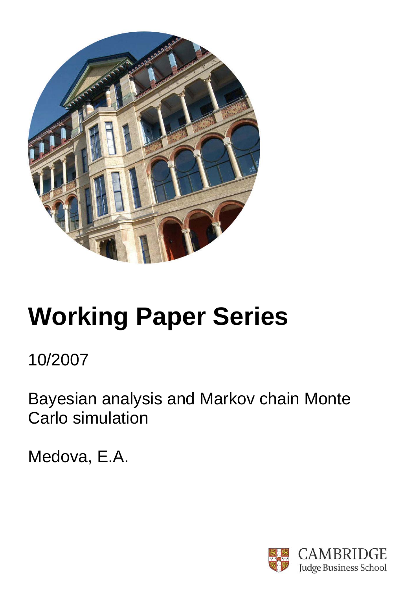

# **Working Paper Series**

10/2007

Bayesian analysis and Markov chain Monte Carlo simulation

Medova, E.A.

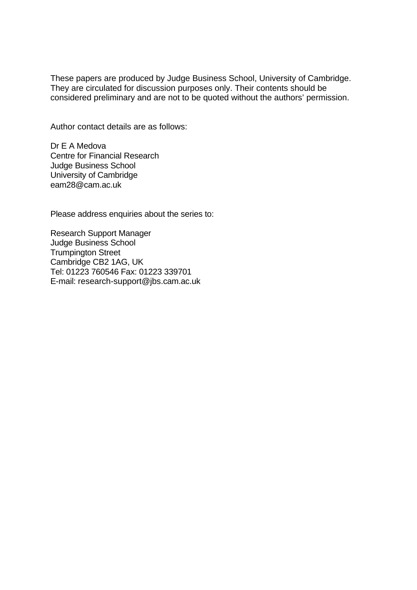These papers are produced by Judge Business School, University of Cambridge. They are circulated for discussion purposes only. Their contents should be considered preliminary and are not to be quoted without the authors' permission.

Author contact details are as follows:

Dr E A Medova Centre for Financial Research Judge Business School University of Cambridge eam28@cam.ac.uk

Please address enquiries about the series to:

Research Support Manager Judge Business School Trumpington Street Cambridge CB2 1AG, UK Tel: 01223 760546 Fax: 01223 339701 E-mail: research-support@jbs.cam.ac.uk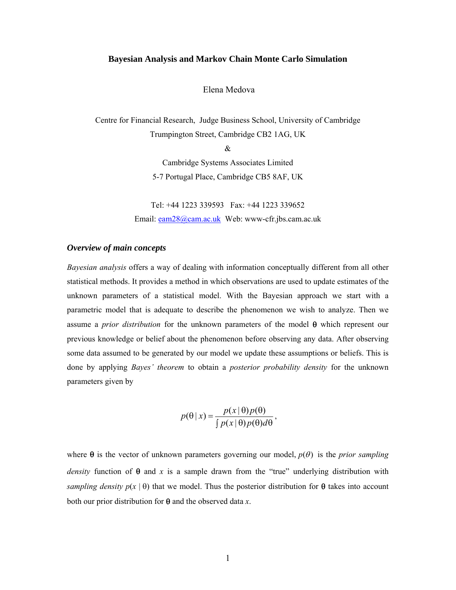#### **Bayesian Analysis and Markov Chain Monte Carlo Simulation**

## Elena Medova

Centre for Financial Research, Judge Business School, University of Cambridge Trumpington Street, Cambridge CB2 1AG, UK

&

Cambridge Systems Associates Limited 5-7 Portugal Place, Cambridge CB5 8AF, UK

Tel: +44 1223 339593 Fax: +44 1223 339652 Email: eam28@cam.ac.uk Web: www-cfr.jbs.cam.ac.uk

## *Overview of main concepts*

*Bayesian analysis* offers a way of dealing with information conceptually different from all other statistical methods. It provides a method in which observations are used to update estimates of the unknown parameters of a statistical model. With the Bayesian approach we start with a parametric model that is adequate to describe the phenomenon we wish to analyze. Then we assume a *prior distribution* for the unknown parameters of the model θ which represent our previous knowledge or belief about the phenomenon before observing any data. After observing some data assumed to be generated by our model we update these assumptions or beliefs. This is done by applying *Bayes' theorem* to obtain a *posterior probability density* for the unknown parameters given by

$$
p(\theta | x) = \frac{p(x | \theta) p(\theta)}{\int p(x | \theta) p(\theta) d\theta},
$$

where  $\theta$  is the vector of unknown parameters governing our model,  $p(\theta)$  is the *prior sampling density* function of  $\theta$  and x is a sample drawn from the "true" underlying distribution with *sampling density*  $p(x | \theta)$  that we model. Thus the posterior distribution for  $\theta$  takes into account both our prior distribution for θ and the observed data *x*.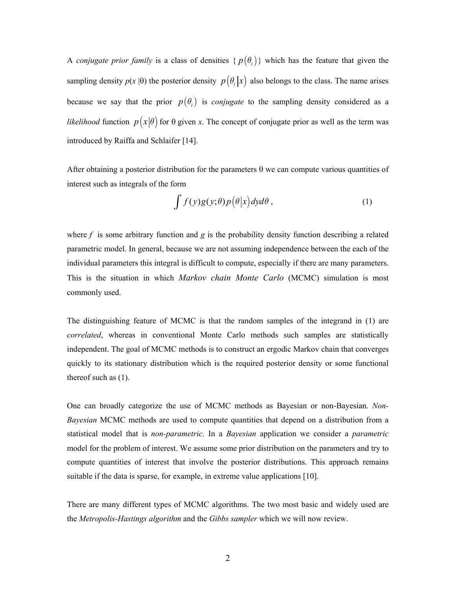A *conjugate prior family* is a class of densities  $\{p(\theta_i)\}\$  which has the feature that given the sampling density  $p(x | \theta)$  the posterior density  $p(\theta_i | x)$  also belongs to the class. The name arises because we say that the prior  $p(\theta_i)$  is *conjugate* to the sampling density considered as a *likelihood* function  $p(x|\theta)$  for  $\theta$  given *x*. The concept of conjugate prior as well as the term was introduced by Raiffa and Schlaifer [14].

After obtaining a posterior distribution for the parameters  $\theta$  we can compute various quantities of interest such as integrals of the form

$$
\int f(y)g(y;\theta)p(\theta|x)dyd\theta, \qquad (1)
$$

where  $f$  is some arbitrary function and  $g$  is the probability density function describing a related parametric model. In general, because we are not assuming independence between the each of the individual parameters this integral is difficult to compute, especially if there are many parameters. This is the situation in which *Markov chain Monte Carlo* (MCMC) simulation is most commonly used.

The distinguishing feature of MCMC is that the random samples of the integrand in (1) are *correlated*, whereas in conventional Monte Carlo methods such samples are statistically independent. The goal of MCMC methods is to construct an ergodic Markov chain that converges quickly to its stationary distribution which is the required posterior density or some functional thereof such as (1).

One can broadly categorize the use of MCMC methods as Bayesian or non-Bayesian. *Non-Bayesian* MCMC methods are used to compute quantities that depend on a distribution from a statistical model that is *non-parametric*. In a *Bayesian* application we consider a *parametric* model for the problem of interest. We assume some prior distribution on the parameters and try to compute quantities of interest that involve the posterior distributions. This approach remains suitable if the data is sparse, for example, in extreme value applications [10].

There are many different types of MCMC algorithms. The two most basic and widely used are the *Metropolis-Hastings algorithm* and the *Gibbs sampler* which we will now review.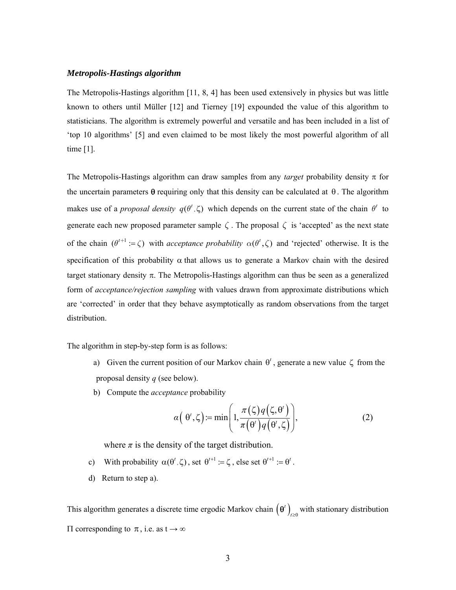## *Metropolis-Hastings algorithm*

The Metropolis-Hastings algorithm [11, 8, 4] has been used extensively in physics but was little known to others until Müller [12] and Tierney [19] expounded the value of this algorithm to statisticians. The algorithm is extremely powerful and versatile and has been included in a list of 'top 10 algorithms' [5] and even claimed to be most likely the most powerful algorithm of all time [1].

The Metropolis-Hastings algorithm can draw samples from any *target* probability density π for the uncertain parameters  $\theta$  requiring only that this density can be calculated at  $\theta$ . The algorithm makes use of a *proposal density*  $q(\theta^t, \zeta)$  which depends on the current state of the chain  $\theta^t$  to generate each new proposed parameter sample  $\zeta$ . The proposal  $\zeta$  is 'accepted' as the next state of the chain  $(\theta^{t+1}) = \zeta$  with *acceptance probability*  $\alpha(\theta^t, \zeta)$  and 'rejected' otherwise. It is the specification of this probability  $\alpha$  that allows us to generate a Markov chain with the desired target stationary density π. The Metropolis-Hastings algorithm can thus be seen as a generalized form of *acceptance/rejection sampling* with values drawn from approximate distributions which are 'corrected' in order that they behave asymptotically as random observations from the target distribution.

The algorithm in step-by-step form is as follows:

- a) Given the current position of our Markov chain  $\theta^t$ , generate a new value  $\zeta$  from the proposal density *q* (see below).
- b) Compute the *acceptance* probability

$$
\alpha\left(\theta',\zeta\right) := \min\left(1, \frac{\pi(\zeta)q\left(\zeta,\theta'\right)}{\pi\left(\theta'\right)q\left(\theta',\zeta\right)}\right),\tag{2}
$$

where  $\pi$  is the density of the target distribution.

- c) With probability  $\alpha(\theta^t, \zeta)$ , set  $\theta^{t+1} := \zeta$ , else set  $\theta^{t+1} := \theta^t$ .
- d) Return to step a).

This algorithm generates a discrete time ergodic Markov chain  $(\theta')_{i\geq 0}$  with stationary distribution  $\Pi$  corresponding to π, i.e. as t → ∞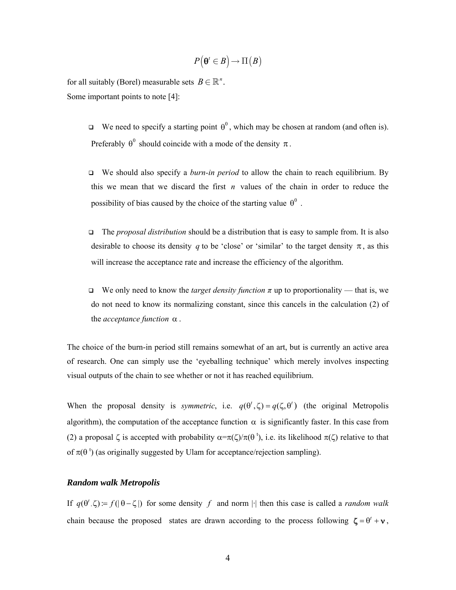$$
P(\mathbf{\Theta}^t \in B) \to \Pi(B)
$$

for all suitably (Borel) measurable sets  $B \in \mathbb{R}^n$ . Some important points to note [4]:

> $\Box$  We need to specify a starting point  $\theta^0$ , which may be chosen at random (and often is). Preferably  $\theta^0$  should coincide with a mode of the density  $\pi$ .

> We should also specify a *burn-in period* to allow the chain to reach equilibrium. By this we mean that we discard the first *n* values of the chain in order to reduce the possibility of bias caused by the choice of the starting value  $\theta^0$ .

- The *proposal distribution* should be a distribution that is easy to sample from. It is also desirable to choose its density *q* to be 'close' or 'similar' to the target density  $\pi$ , as this will increase the acceptance rate and increase the efficiency of the algorithm.
- We only need to know the *target density function*  $\pi$  up to proportionality that is, we do not need to know its normalizing constant, since this cancels in the calculation (2) of the *acceptance function* α .

The choice of the burn-in period still remains somewhat of an art, but is currently an active area of research. One can simply use the 'eyeballing technique' which merely involves inspecting visual outputs of the chain to see whether or not it has reached equilibrium.

When the proposal density is *symmetric*, i.e.  $q(\theta^t, \zeta) = q(\zeta, \theta^t)$  (the original Metropolis algorithm), the computation of the acceptance function  $\alpha$  is significantly faster. In this case from (2) a proposal  $\zeta$  is accepted with probability  $\alpha = \pi(\zeta)/\pi(\theta^t)$ , i.e. its likelihood  $\pi(\zeta)$  relative to that of  $\pi(\theta^t)$  (as originally suggested by Ulam for acceptance/rejection sampling).

## *Random walk Metropolis*

If  $q(\theta', \zeta) = f(|\theta - \zeta|)$  for some density f and norm |·| then this case is called a *random walk* chain because the proposed states are drawn according to the process following  $\zeta = \theta' + v$ ,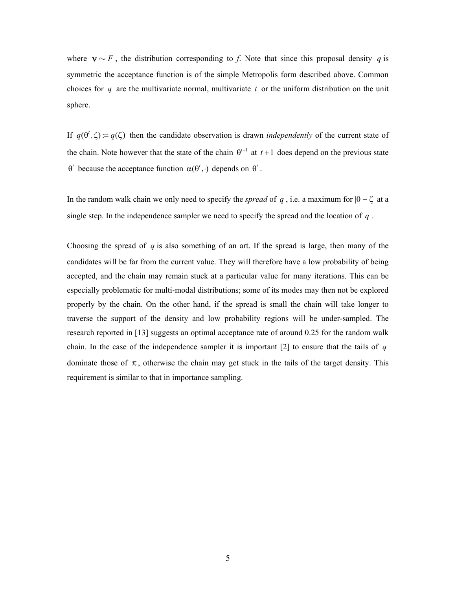where  $\mathbf{v} \sim F$ , the distribution corresponding to *f*. Note that since this proposal density *q* is symmetric the acceptance function is of the simple Metropolis form described above. Common choices for *q* are the multivariate normal, multivariate *t* or the uniform distribution on the unit sphere.

If  $q(\theta', \zeta) = q(\zeta)$  then the candidate observation is drawn *independently* of the current state of the chain. Note however that the state of the chain  $\theta^{t+1}$  at  $t+1$  does depend on the previous state  $\theta'$  because the acceptance function  $\alpha(\theta', \cdot)$  depends on  $\theta'$ .

In the random walk chain we only need to specify the *spread* of *q*, i.e. a maximum for  $|\theta - \zeta|$  at a single step. In the independence sampler we need to specify the spread and the location of *q* .

Choosing the spread of *q* is also something of an art. If the spread is large, then many of the candidates will be far from the current value. They will therefore have a low probability of being accepted, and the chain may remain stuck at a particular value for many iterations. This can be especially problematic for multi-modal distributions; some of its modes may then not be explored properly by the chain. On the other hand, if the spread is small the chain will take longer to traverse the support of the density and low probability regions will be under-sampled. The research reported in [13] suggests an optimal acceptance rate of around 0.25 for the random walk chain. In the case of the independence sampler it is important [2] to ensure that the tails of *q* dominate those of  $\pi$ , otherwise the chain may get stuck in the tails of the target density. This requirement is similar to that in importance sampling.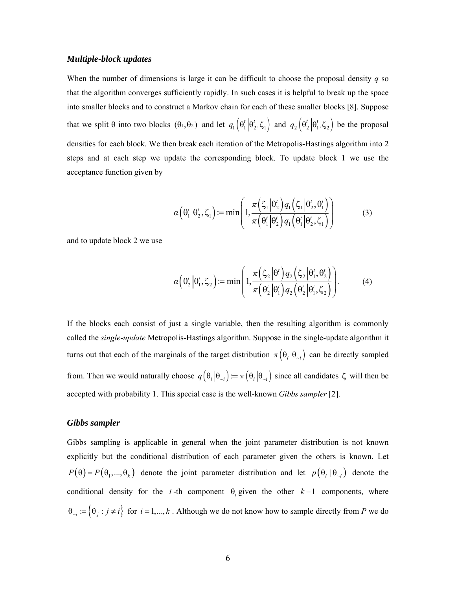### *Multiple-block updates*

When the number of dimensions is large it can be difficult to choose the proposal density *q* so that the algorithm converges sufficiently rapidly. In such cases it is helpful to break up the space into smaller blocks and to construct a Markov chain for each of these smaller blocks [8]. Suppose that we split  $\theta$  into two blocks  $(\theta_1, \theta_2)$  and let  $q_1(\theta_1^t | \theta_2^t, \zeta_1)$  and  $q_2(\theta_2^t | \theta_1^t, \zeta_2)$  be the proposal densities for each block. We then break each iteration of the Metropolis-Hastings algorithm into 2 steps and at each step we update the corresponding block. To update block 1 we use the acceptance function given by

$$
\alpha\left(\theta_1'\middle|\theta_2',\zeta_1\right) := \min\left(1,\frac{\pi\left(\zeta_1\middle|\theta_2'\right)q_1\left(\zeta_1\middle|\theta_2',\theta_1'\right)}{\pi\left(\theta_1'\middle|\theta_2'\right)q_1\left(\theta_1'\middle|\theta_2',\zeta_1\right)}\right) \tag{3}
$$

and to update block 2 we use

$$
\alpha\left(\theta_2'\middle|\theta_1',\zeta_2\right) := \min\left(1,\frac{\pi\left(\zeta_2\middle|\theta_1'\right)q_2\left(\zeta_2\middle|\theta_1',\theta_2'\right)}{\pi\left(\theta_2'\middle|\theta_1'\right)q_2\left(\theta_2'\middle|\theta_1',\zeta_2\right)}\right).
$$
\n(4)

If the blocks each consist of just a single variable, then the resulting algorithm is commonly called the *single-update* Metropolis-Hastings algorithm. Suppose in the single-update algorithm it turns out that each of the marginals of the target distribution  $\pi(\theta_i | \theta_{i})$  can be directly sampled from. Then we would naturally choose  $q(\theta_i | \theta_{i}) = \pi(\theta_i | \theta_{i})$  since all candidates  $\zeta$  will then be accepted with probability 1. This special case is the well-known *Gibbs sampler* [2].

#### *Gibbs sampler*

Gibbs sampling is applicable in general when the joint parameter distribution is not known explicitly but the conditional distribution of each parameter given the others is known. Let  $P(\theta) = P(\theta_1, ..., \theta_k)$  denote the joint parameter distribution and let  $p(\theta_i | \theta_{i})$  denote the conditional density for the *i*-th component  $\theta_i$  given the other  $k-1$  components, where  $\theta_{i,j} := \{\theta_j : j \neq i\}$  for  $i = 1,...,k$ . Although we do not know how to sample directly from *P* we do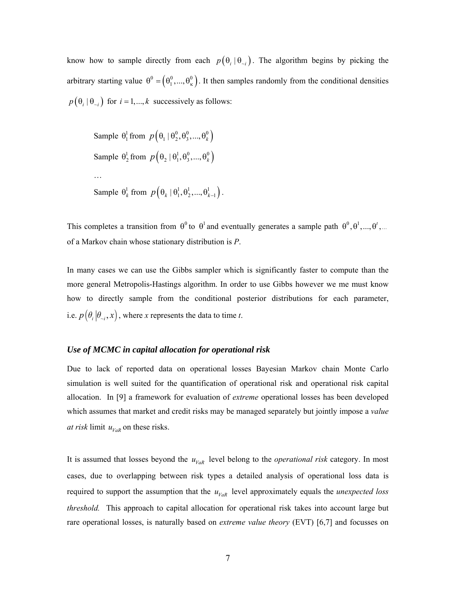know how to sample directly from each  $p(\theta_i | \theta_{i})$ . The algorithm begins by picking the arbitrary starting value  $\theta^0 = (\theta_1^0, ..., \theta_\kappa^0)$ . It then samples randomly from the conditional densities  $p(\theta_i | \theta_{i})$  for  $i = 1, ..., k$  successively as follows:

```
Sample \theta_1^1 from p(\theta_1 | \theta_2^0, \theta_3^0, ..., \theta_k^0)Sample \theta_2^1 from p(\theta_2 | \theta_1^1, \theta_3^0, ..., \theta_k^0)… 
Sample \theta_k^1 from p(\theta_k | \theta_1^1, \theta_2^1, ..., \theta_{k-1}^1).
```
This completes a transition from  $\theta^0$  to  $\theta^1$  and eventually generates a sample path  $\theta^0$ ,  $\theta^1$ , ...,  $\theta^t$ , ... of a Markov chain whose stationary distribution is *P*.

In many cases we can use the Gibbs sampler which is significantly faster to compute than the more general Metropolis-Hastings algorithm. In order to use Gibbs however we me must know how to directly sample from the conditional posterior distributions for each parameter, i.e.  $p(\theta_i | \theta_{i}, x)$ , where *x* represents the data to time *t*.

## *Use of MCMC in capital allocation for operational risk*

Due to lack of reported data on operational losses Bayesian Markov chain Monte Carlo simulation is well suited for the quantification of operational risk and operational risk capital allocation. In [9] a framework for evaluation of *extreme* operational losses has been developed which assumes that market and credit risks may be managed separately but jointly impose a *value at risk* limit  $u_{VaR}$  on these risks.

It is assumed that losses beyond the  $u_{VaR}$  level belong to the *operational risk* category. In most cases, due to overlapping between risk types a detailed analysis of operational loss data is required to support the assumption that the  $u_{VaR}$  level approximately equals the *unexpected loss threshold.* This approach to capital allocation for operational risk takes into account large but rare operational losses, is naturally based on *extreme value theory* (EVT) [6,7] and focusses on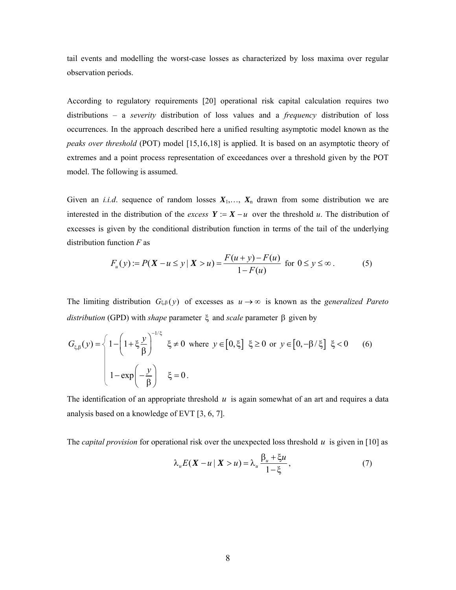tail events and modelling the worst-case losses as characterized by loss maxima over regular observation periods.

According to regulatory requirements [20] operational risk capital calculation requires two distributions – a *severity* distribution of loss values and a *frequency* distribution of loss occurrences. In the approach described here a unified resulting asymptotic model known as the *peaks over threshold* (POT) model [15,16,18] is applied. It is based on an asymptotic theory of extremes and a point process representation of exceedances over a threshold given by the POT model. The following is assumed.

Given an *i.i.d.* sequence of random losses  $X_1, \ldots, X_n$  drawn from some distribution we are interested in the distribution of the *excess*  $Y := X - u$  over the threshold *u*. The distribution of excesses is given by the conditional distribution function in terms of the tail of the underlying distribution function *F* as

$$
F_u(y) := P(X - u \le y \mid X > u) = \frac{F(u + y) - F(u)}{1 - F(u)} \text{ for } 0 \le y \le \infty.
$$
 (5)

The limiting distribution  $G_{\xi,\beta}(y)$  of excesses as  $u \to \infty$  is known as the *generalized Pareto distribution* (GPD) with *shape* parameter ξ and *scale* parameter β given by

$$
G_{\xi,\beta}(y) = \begin{cases} 1 - \left(1 + \xi \frac{y}{\beta}\right)^{-1/\xi} & \xi \neq 0 \text{ where } y \in [0,\xi] \xi \ge 0 \text{ or } y \in [0,-\beta/\xi] \xi < 0 \end{cases} \tag{6}
$$
  

$$
1 - \exp\left(-\frac{y}{\beta}\right) \xi = 0.
$$

The identification of an appropriate threshold *u* is again somewhat of an art and requires a data analysis based on a knowledge of EVT [3, 6, 7].

The *capital provision* for operational risk over the unexpected loss threshold *u* is given in [10] as

$$
\lambda_u E(\mathbf{X} - u \mid \mathbf{X} > u) = \lambda_u \frac{\beta_u + \xi u}{1 - \xi},\tag{7}
$$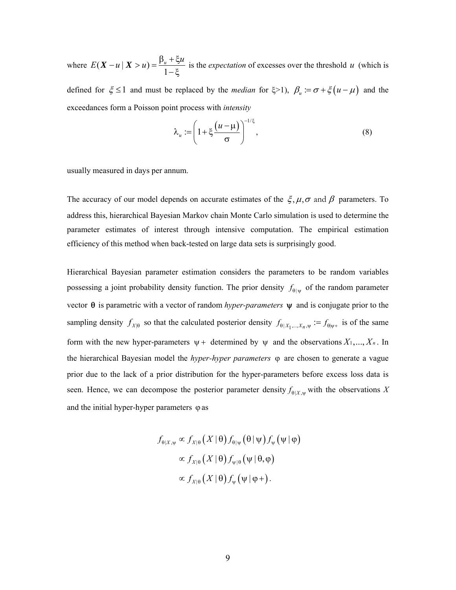where  $E(X - u \mid X > u) = \frac{\beta_u + \xi u}{1 - \xi}$  is the *expectation* of excesses over the threshold *u* (which is

defined for  $\xi \le 1$  and must be replaced by the *median* for  $\xi > 1$ ,  $\beta_u := \sigma + \xi(u - \mu)$  and the exceedances form a Poisson point process with *intensity* 

$$
\lambda_u := \left(1 + \xi \frac{(u - \mu)}{\sigma}\right)^{-1/\xi},\tag{8}
$$

usually measured in days per annum.

The accuracy of our model depends on accurate estimates of the  $\xi, \mu, \sigma$  and  $\beta$  parameters. To address this, hierarchical Bayesian Markov chain Monte Carlo simulation is used to determine the parameter estimates of interest through intensive computation. The empirical estimation efficiency of this method when back-tested on large data sets is surprisingly good.

Hierarchical Bayesian parameter estimation considers the parameters to be random variables possessing a joint probability density function. The prior density  $f_{\theta | \psi}$  of the random parameter vector θ is parametric with a vector of random *hyper-parameters* ψ and is conjugate prior to the sampling density  $f_{X|\theta}$  so that the calculated posterior density  $f_{\theta|X_1,\dots,X_n,\psi} := f_{\theta|\psi_+}$  is of the same form with the new hyper-parameters  $\psi$  + determined by  $\psi$  and the observations  $X_1, ..., X_n$ . In the hierarchical Bayesian model the *hyper-hyper parameters* ϕ are chosen to generate a vague prior due to the lack of a prior distribution for the hyper-parameters before excess loss data is seen. Hence, we can decompose the posterior parameter density  $f_{\theta|X,y}$  with the observations *X* and the initial hyper-hyper parameters  $\varphi$  as

$$
f_{\theta|X,\psi} \propto f_{X|\theta} (X | \theta) f_{\theta|\psi} (\theta | \psi) f_{\psi} (\psi | \phi)
$$

$$
\propto f_{X|\theta} (X | \theta) f_{\psi|\theta} (\psi | \theta, \phi)
$$

$$
\propto f_{X|\theta} (X | \theta) f_{\psi} (\psi | \phi +).
$$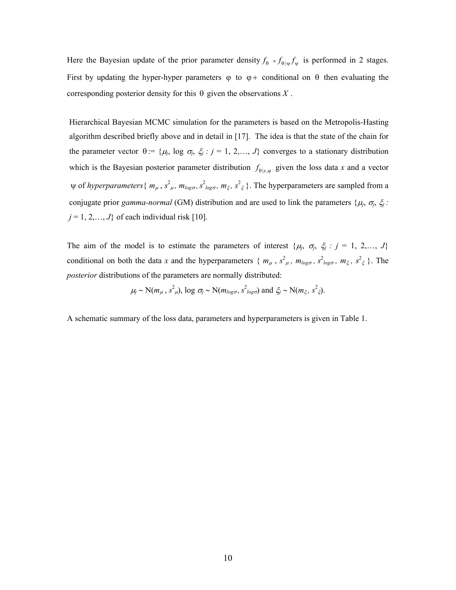Here the Bayesian update of the prior parameter density  $f_{\theta} \propto f_{\theta|\psi} f_{\psi}$  is performed in 2 stages. First by updating the hyper-hyper parameters  $\varphi$  to  $\varphi$  + conditional on  $\theta$  then evaluating the corresponding posterior density for this  $\theta$  given the observations  $X$ .

Hierarchical Bayesian MCMC simulation for the parameters is based on the Metropolis-Hasting algorithm described briefly above and in detail in [17]. The idea is that the state of the chain for the parameter vector  $\theta$  := { $\mu_j$ , log  $\sigma_j$ ,  $\xi_j$  :  $j = 1, 2, \dots, J$ } converges to a stationary distribution which is the Bayesian posterior parameter distribution  $f_{\theta | x, \psi}$  given the loss data *x* and a vector  $\psi$  of *hyperparameters* {  $m_{\mu}$  ,  $s^2_{\mu}$ ,  $m_{log\sigma}$ ,  $s^2_{log\sigma}$ ,  $m_{\xi}$ ,  $s^2_{\xi}$  }. The hyperparameters are sampled from a conjugate prior *gamma-normal* (GM) distribution and are used to link the parameters  $\{\mu_j, \sigma_j, \xi_j\}$ .  $j = 1, 2, \ldots, J$ } of each individual risk [10].

The aim of the model is to estimate the parameters of interest  $\{\mu_j, \sigma_j, \xi_j : j = 1, 2, \ldots, J\}$ conditional on both the data *x* and the hyperparameters {  $m_{\mu}$ ,  $s^2_{\mu}$ ,  $m_{log\sigma}$ ,  $s^2_{log\sigma}$ ,  $m_{\xi}$ ,  $s^2_{\xi}$  }. The *posterior* distributions of the parameters are normally distributed:

$$
\mu_j \sim N(m_\mu, s^2_\mu)
$$
,  $\log \sigma_j \sim N(m_{log \sigma}, s^2_{log \sigma})$  and  $\xi_j \sim N(m_\xi, s^2_\xi)$ .

A schematic summary of the loss data, parameters and hyperparameters is given in Table 1.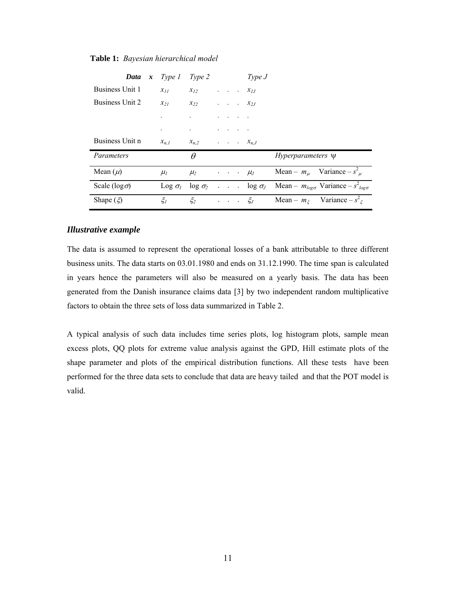| <b>Data</b> $x$ Type 1 |                        | Type 2               |                 |  | Type J                           |                                                                                         |
|------------------------|------------------------|----------------------|-----------------|--|----------------------------------|-----------------------------------------------------------------------------------------|
| Business Unit 1        | $x_{11}$               | $x_{12}$             |                 |  | $\cdot$ $\cdot$ $\cdot$ $x_{1J}$ |                                                                                         |
| Business Unit 2        | $x_{21}$               | $x_{22}$             |                 |  | $\cdot$ $\cdot$ $\cdot$ $x_{2J}$ |                                                                                         |
|                        |                        |                      |                 |  |                                  |                                                                                         |
|                        |                        | $\ddot{\phantom{0}}$ | $\cdot$ $\cdot$ |  |                                  |                                                                                         |
| Business Unit n        | $x_{n,I}$              | $x_{n,2}$            |                 |  | $\ldots$ $x_{n,J}$               |                                                                                         |
| Parameters             |                        | $\theta$             |                 |  |                                  | <i>Hyperparameters</i> $\Psi$                                                           |
| Mean $(\mu)$           | $\mu_l$                | $\mu_2$              |                 |  | $\cdot \cdot \cdot \cdot \mu_J$  | Mean – $m_{\mu}$ Variance – $s^2_{\mu}$                                                 |
| Scale ( $log \sigma$ ) | $\text{Log } \sigma_l$ |                      |                 |  |                                  | $\log \sigma_2$ $\log \sigma_J$ Mean – $m_{\log \sigma}$ Variance – $s^2_{\log \sigma}$ |
| Shape $(\xi)$          | $\xi_I$                | $\xi_2$              |                 |  | $\cdot \cdot \cdot \cdot \xi_J$  | Mean – $m_{\xi}$ Variance – $s^2_{\xi}$                                                 |

#### **Table 1:** *Bayesian hierarchical model*

## *Illustrative example*

The data is assumed to represent the operational losses of a bank attributable to three different business units. The data starts on 03.01.1980 and ends on 31.12.1990. The time span is calculated in years hence the parameters will also be measured on a yearly basis. The data has been generated from the Danish insurance claims data [3] by two independent random multiplicative factors to obtain the three sets of loss data summarized in Table 2.

A typical analysis of such data includes time series plots, log histogram plots, sample mean excess plots, QQ plots for extreme value analysis against the GPD, Hill estimate plots of the shape parameter and plots of the empirical distribution functions. All these tests have been performed for the three data sets to conclude that data are heavy tailed and that the POT model is valid.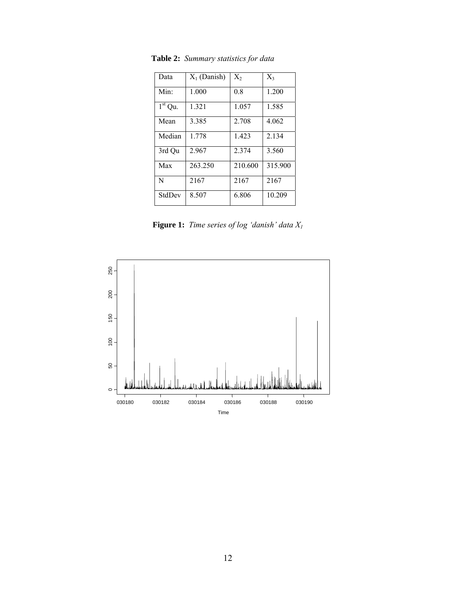| Data             | $X_1$ (Danish) | $X_2$   | $X_3$   |
|------------------|----------------|---------|---------|
| Min <sup>·</sup> | 1.000          | 0.8     | 1.200   |
| $1st$ Qu.        | 1.321          | 1.057   | 1.585   |
| Mean             | 3.385          | 2.708   | 4.062   |
| Median           | 1.778          | 1.423   | 2.134   |
| 3rd Qu           | 2.967          | 2.374   | 3.560   |
| Max              | 263.250        | 210.600 | 315.900 |
| N                | 2167           | 2167    | 2167    |
| StdDev           | 8.507          | 6.806   | 10.209  |

**Table 2:** *Summary statistics for data*

**Figure 1:** *Time series of log 'danish' data X1* 

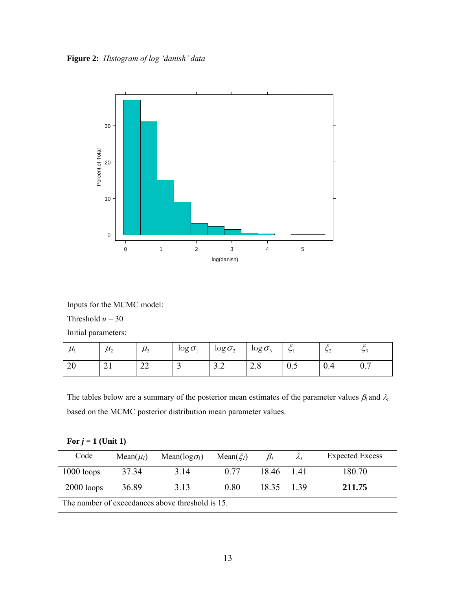**Figure 2:** *Histogram of log 'danish' data* 



Inputs for the MCMC model:

Threshold  $u = 30$ 

Initial parameters:

| $\mu$        | $\mu$<br>∸ | . .<br>$\mu_{2}$ | $\log \sigma$ | $\log \sigma_{2}$ | $\log \sigma_{3}$ | $\epsilon$<br>51 | $\epsilon$<br>52 | $\epsilon$<br>33             |
|--------------|------------|------------------|---------------|-------------------|-------------------|------------------|------------------|------------------------------|
| $\cap$<br>∠∪ | $\sim$ 1   | $\cap$<br>∠∠     | ້             | $\sim$<br>◡.↩     | ററ<br>$\angle 0$  | U.               | 0.4              | $\sim$ $\sim$<br>$U_{\star}$ |

The tables below are a summary of the posterior mean estimates of the parameter values  $\beta_i$  and  $\lambda_i$ based on the MCMC posterior distribution mean parameter values.

| For $j = 1$ (Unit 1) |  |  |  |
|----------------------|--|--|--|
|                      |  |  |  |

| Code                                             | Mean $(\mu_l)$ | Mean( $log \sigma_l$ ) | Mean( $\xi_l$ ) | $\beta_i$ | $\mathcal{A}_{I}$ | <b>Expected Excess</b> |  |  |
|--------------------------------------------------|----------------|------------------------|-----------------|-----------|-------------------|------------------------|--|--|
| $1000$ loops                                     | 3734           | 3.14                   | 0.77            | 1846 141  |                   | 180.70                 |  |  |
| $2000$ loops                                     | 36.89          | 3.13                   | 0.80            | 18.35     | 1 3 9             | 211.75                 |  |  |
| The number of exceedances above threshold is 15. |                |                        |                 |           |                   |                        |  |  |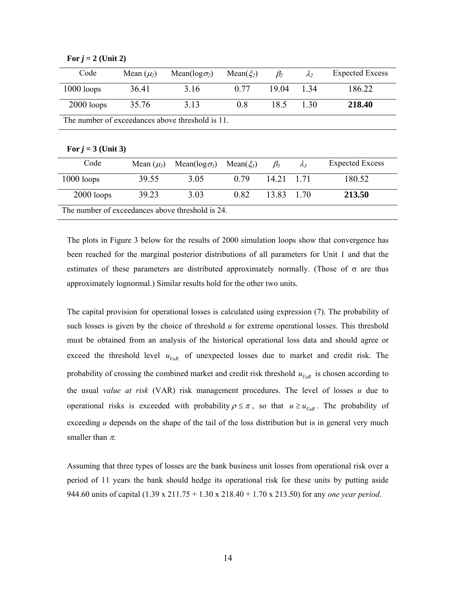| Code                                             | Mean $(\mu_2)$                                   | Mean( $log \sigma_2$ ) | Mean( $\xi_2$ ) | $\beta_2$ | $\lambda_2$ | <b>Expected Excess</b> |  |  |  |  |
|--------------------------------------------------|--------------------------------------------------|------------------------|-----------------|-----------|-------------|------------------------|--|--|--|--|
| $1000$ loops                                     | 36.41                                            | 3.16                   | 0.77            | 19.04     | 1.34        | 186.22                 |  |  |  |  |
| $2000$ loops                                     | 35.76                                            | 3.13                   | 0.8             | 18.5      | 1.30        | 218.40                 |  |  |  |  |
|                                                  | The number of exceedances above threshold is 11. |                        |                 |           |             |                        |  |  |  |  |
| For $j = 3$ (Unit 3)                             |                                                  |                        |                 |           |             |                        |  |  |  |  |
| Code                                             | Mean $(\mu_3)$                                   | Mean( $log \sigma_3$ ) | Mean( $\xi_3$ ) | $\beta_3$ | $\lambda_3$ | <b>Expected Excess</b> |  |  |  |  |
| $1000$ loops                                     | 39.55                                            | 3.05                   | 0.79            | 14.21     | 1.71        | 180.52                 |  |  |  |  |
| $2000$ loops                                     | 39.23                                            | 3.03                   | 0.82            | 13.83     | 1.70        | 213.50                 |  |  |  |  |
| The number of exceedances above threshold is 24. |                                                  |                        |                 |           |             |                        |  |  |  |  |

For  $j = 2$  (Unit 2)

The plots in Figure 3 below for the results of 2000 simulation loops show that convergence has been reached for the marginal posterior distributions of all parameters for Unit 1 and that the estimates of these parameters are distributed approximately normally. (Those of  $\sigma$  are thus approximately lognormal.) Similar results hold for the other two units.

The capital provision for operational losses is calculated using expression (7). The probability of such losses is given by the choice of threshold *u* for extreme operational losses. This threshold must be obtained from an analysis of the historical operational loss data and should agree or exceed the threshold level  $u_{VaR}$  of unexpected losses due to market and credit risk. The probability of crossing the combined market and credit risk threshold  $u_{VaR}$  is chosen according to the usual *value at risk* (VAR) risk management procedures. The level of losses *u* due to operational risks is exceeded with probability  $\rho \leq \pi$ , so that  $u \geq u_{VaR}$ . The probability of exceeding  $u$  depends on the shape of the tail of the loss distribution but is in general very much smaller than  $\pi$ .

Assuming that three types of losses are the bank business unit losses from operational risk over a period of 11 years the bank should hedge its operational risk for these units by putting aside 944.60 units of capital (1.39 x 211.75 + 1.30 x 218.40 + 1.70 x 213.50) for any *one year period*.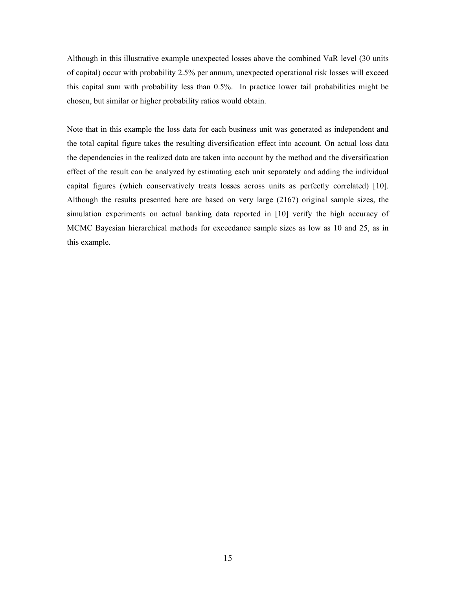Although in this illustrative example unexpected losses above the combined VaR level (30 units of capital) occur with probability 2.5% per annum, unexpected operational risk losses will exceed this capital sum with probability less than 0.5%. In practice lower tail probabilities might be chosen, but similar or higher probability ratios would obtain.

Note that in this example the loss data for each business unit was generated as independent and the total capital figure takes the resulting diversification effect into account. On actual loss data the dependencies in the realized data are taken into account by the method and the diversification effect of the result can be analyzed by estimating each unit separately and adding the individual capital figures (which conservatively treats losses across units as perfectly correlated) [10]. Although the results presented here are based on very large (2167) original sample sizes, the simulation experiments on actual banking data reported in [10] verify the high accuracy of MCMC Bayesian hierarchical methods for exceedance sample sizes as low as 10 and 25, as in this example.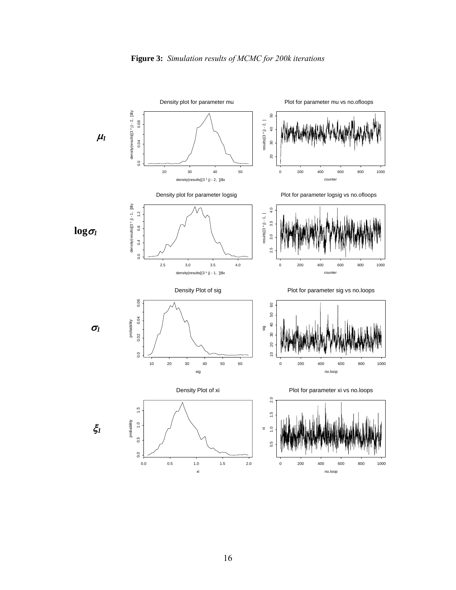

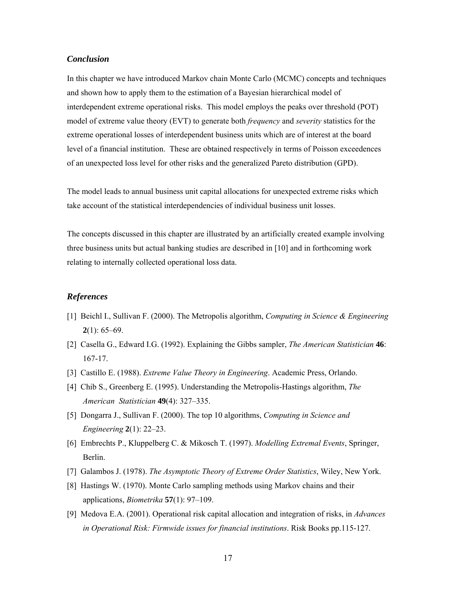## *Conclusion*

In this chapter we have introduced Markov chain Monte Carlo (MCMC) concepts and techniques and shown how to apply them to the estimation of a Bayesian hierarchical model of interdependent extreme operational risks. This model employs the peaks over threshold (POT) model of extreme value theory (EVT) to generate both *frequency* and *severity* statistics for the extreme operational losses of interdependent business units which are of interest at the board level of a financial institution. These are obtained respectively in terms of Poisson exceedences of an unexpected loss level for other risks and the generalized Pareto distribution (GPD).

The model leads to annual business unit capital allocations for unexpected extreme risks which take account of the statistical interdependencies of individual business unit losses.

The concepts discussed in this chapter are illustrated by an artificially created example involving three business units but actual banking studies are described in [10] and in forthcoming work relating to internally collected operational loss data.

## *References*

- [1] Beichl I., Sullivan F. (2000). The Metropolis algorithm, *Computing in Science & Engineering* **2**(1): 65–69.
- [2] Casella G., Edward I.G. (1992). Explaining the Gibbs sampler, *The American Statistician* **46**: 167-17.
- [3] Castillo E. (1988). *Extreme Value Theory in Engineering*. Academic Press, Orlando.
- [4] Chib S., Greenberg E. (1995). Understanding the Metropolis-Hastings algorithm, *The American Statistician* **49**(4): 327–335.
- [5] Dongarra J., Sullivan F. (2000). The top 10 algorithms, *Computing in Science and Engineering* **2**(1): 22–23.
- [6] Embrechts P., Kluppelberg C. & Mikosch T. (1997). *Modelling Extremal Events*, Springer, Berlin.
- [7] Galambos J. (1978). *The Asymptotic Theory of Extreme Order Statistics*, Wiley, New York.
- [8] Hastings W. (1970). Monte Carlo sampling methods using Markov chains and their applications, *Biometrika* **57**(1): 97–109.
- [9] Medova E.A. (2001). Operational risk capital allocation and integration of risks, in *Advances in Operational Risk: Firmwide issues for financial institutions*. Risk Books pp.115-127.